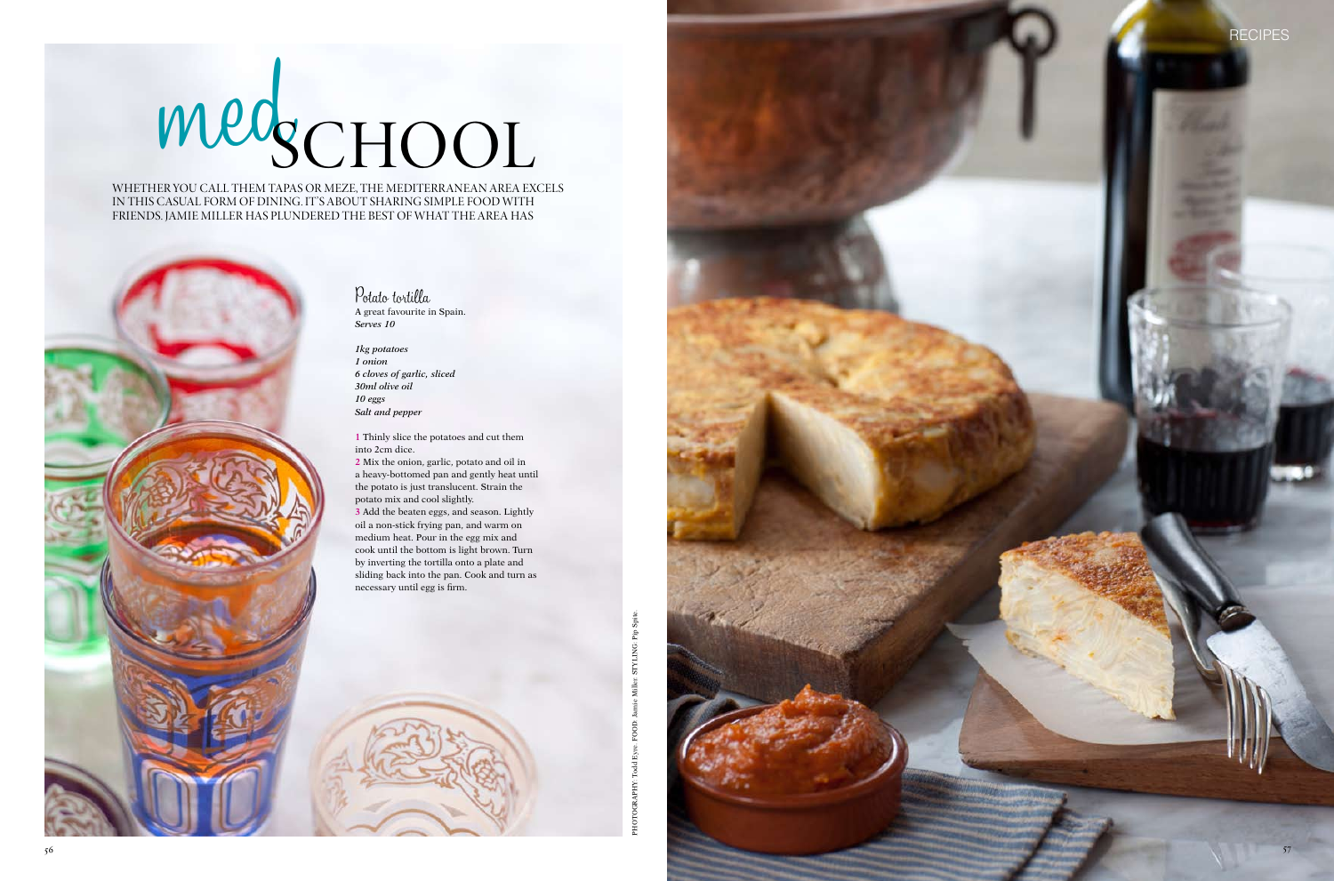



Whether you call them tapas or meze, the Mediterranean area excels IN THIS CASUAL FORM OF DINING. IT'S ABOUT SHARING SIMPLE FOOD WITH friends. Jamie Miller has plundered the best of what the area has

# medschool



*1kg potatoes 1 onion 6 cloves of garlic, sliced 30ml olive oil 10 eggs Salt and pepper*

**1** Thinly slice the potatoes and cut them into 2cm dice.

**2** Mix the onion, garlic, potato and oil in a heavy-bottomed pan and gently heat until the potato is just translucent. Strain the potato mix and cool slightly.

**3** Add the beaten eggs, and season. Lightly oil a non-stick frying pan, and warm on medium heat. Pour in the egg mix and cook until the bottom is light brown. Turn by inverting the tortilla onto a plate and sliding back into the pan. Cook and turn as necessary until egg is firm.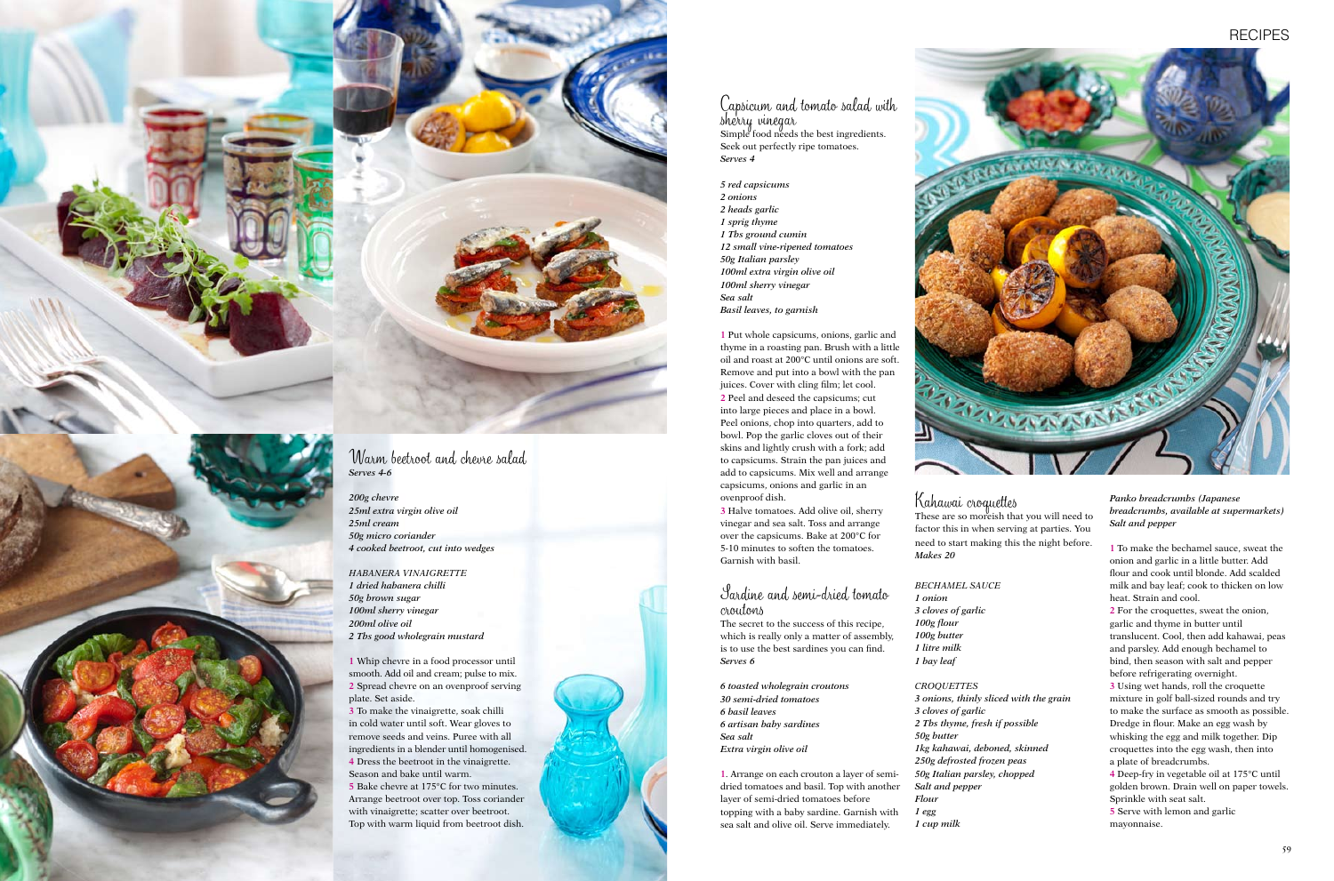## Kahawai croquettes

These are so moreish that you will need to factor this in when serving at parties. You need to start making this the night before. *Makes 20*

### *Bechamel sauce*

*1 onion 3 cloves of garlic*

### *Croquettes*

*100g flour 100g butter 1 litre milk 1 bay leaf 50g butter*

*3 onions, thinly sliced with the grain 3 cloves of garlic 2 Tbs thyme, fresh if possible 1kg kahawai, deboned, skinned 250g defrosted frozen peas 50g Italian parsley, chopped Salt and pepper*

*Flour 1 egg*

# **RECIPES**



*1 cup milk*

# Capsicum and tomato salad with sherry vinegar Simple food needs the best ingredients. Seek out perfectly ripe tomatoes. *Serves 4*

*5 red capsicums 2 onions 2 heads garlic 1 sprig thyme 1 Tbs ground cumin 12 small vine-ripened tomatoes 50g Italian parsley 100ml extra virgin olive oil 100ml sherry vinegar Sea salt Basil leaves, to garnish*

**1** Put whole capsicums, onions, garlic and thyme in a roasting pan. Brush with a little oil and roast at 200°C until onions are soft. Remove and put into a bowl with the pan juices. Cover with cling film; let cool. **2** Peel and deseed the capsicums; cut into large pieces and place in a bowl. Peel onions, chop into quarters, add to bowl. Pop the garlic cloves out of their skins and lightly crush with a fork; add to capsicums. Strain the pan juices and add to capsicums. Mix well and arrange capsicums, onions and garlic in an ovenproof dish.

**3** Halve tomatoes. Add olive oil, sherry vinegar and sea salt. Toss and arrange over the capsicums. Bake at 200°C for 5-10 minutes to soften the tomatoes. Garnish with basil.

# Sardine and semi-dried tomato croutons

The secret to the success of this recipe, which is really only a matter of assembly, is to use the best sardines you can find. *Serves 6*

*6 toasted wholegrain croutons 30 semi-dried tomatoes 6 basil leaves 6 artisan baby sardines Sea salt Extra virgin olive oil*

**1**. Arrange on each crouton a layer of semidried tomatoes and basil. Top with another layer of semi-dried tomatoes before topping with a baby sardine. Garnish with sea salt and olive oil. Serve immediately.

*Panko breadcrumbs (Japanese breadcrumbs, available at supermarkets) Salt and pepper*

**1** To make the bechamel sauce, sweat the onion and garlic in a little butter. Add flour and cook until blonde. Add scalded milk and bay leaf; cook to thicken on low heat. Strain and cool.

**2** For the croquettes, sweat the onion, garlic and thyme in butter until translucent. Cool, then add kahawai, peas and parsley. Add enough bechamel to bind, then season with salt and pepper before refrigerating overnight.

**3** Using wet hands, roll the croquette mixture in golf ball-sized rounds and try to make the surface as smooth as possible. Dredge in flour. Make an egg wash by whisking the egg and milk together. Dip croquettes into the egg wash, then into a plate of breadcrumbs.

**4** Deep-fry in vegetable oil at 175°C until golden brown. Drain well on paper towels. Sprinkle with seat salt.

**5** Serve with lemon and garlic mayonnaise.



# Warm beetroot and chevre salad *Serves 4-6*

*200g chevre 25ml extra virgin olive oil 25ml cream 50g micro coriander 4 cooked beetroot, cut into wedges*

*Habanera vinaigrette 1 dried habanera chilli 50g brown sugar 100ml sherry vinegar 200ml olive oil 2 Tbs good wholegrain mustard*

**1** Whip chevre in a food processor until smooth. Add oil and cream; pulse to mix. **2** Spread chevre on an ovenproof serving plate. Set aside.

**3** To make the vinaigrette, soak chilli in cold water until soft. Wear gloves to remove seeds and veins. Puree with all ingredients in a blender until homogenised. **4** Dress the beetroot in the vinaigrette. Season and bake until warm. **5** Bake chevre at 175°C for two minutes. Arrange beetroot over top. Toss coriander with vinaigrette; scatter over beetroot. Top with warm liquid from beetroot dish.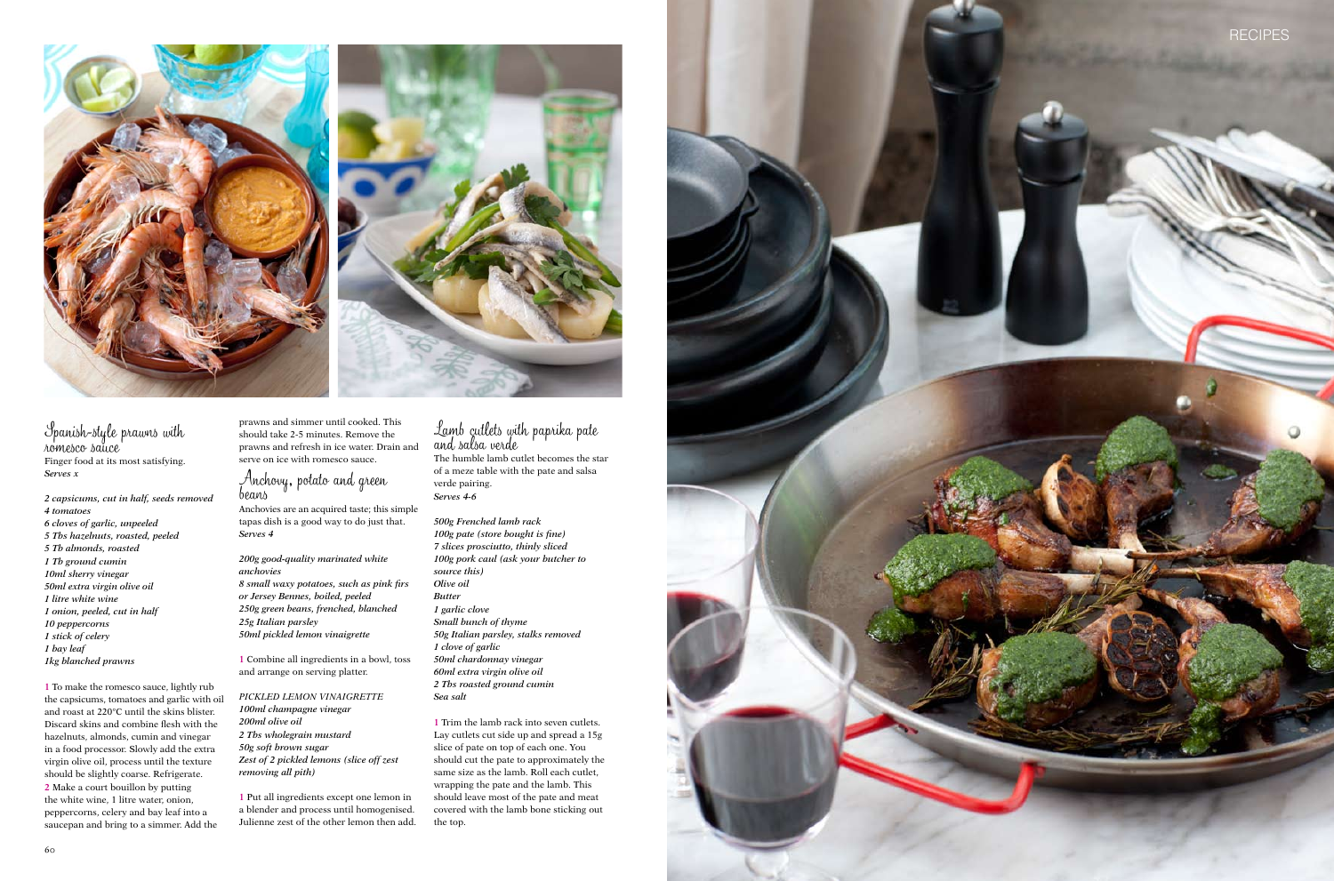



Spanish-style prawns with romesco sauce Finger food at its most satisfying. *Serves x*

*2 capsicums, cut in half, seeds removed 4 tomatoes 6 cloves of garlic, unpeeled 5 Tbs hazelnuts, roasted, peeled 5 Tb almonds, roasted 1 Tb ground cumin 10ml sherry vinegar 50ml extra virgin olive oil 1 litre white wine 1 onion, peeled, cut in half 10 peppercorns 1 stick of celery 1 bay leaf 1kg blanched prawns*

**1** To make the romesco sauce, lightly rub the capsicums, tomatoes and garlic with oil and roast at 220°C until the skins blister. Discard skins and combine flesh with the hazelnuts, almonds, cumin and vinegar in a food processor. Slowly add the extra virgin olive oil, process until the texture should be slightly coarse. Refrigerate. **2** Make a court bouillon by putting the white wine, 1 litre water, onion, peppercorns, celery and bay leaf into a saucepan and bring to a simmer. Add the

prawns and simmer until cooked. This should take 2-5 minutes. Remove the prawns and refresh in ice water. Drain and serve on ice with romesco sauce.

# Anchovy, potato and green beans

Anchovies are an acquired taste; this simple tapas dish is a good way to do just that. *Serves 4*

*200g good-quality marinated white anchovies 8 small waxy potatoes, such as pink firs or Jersey Bennes, boiled, peeled 250g green beans, frenched, blanched 25g Italian parsley*

*50ml pickled lemon vinaigrette*

**1** Combine all ingredients in a bowl, toss and arrange on serving platter.

*Pickled lemon vinaigrette 100ml champagne vinegar 200ml olive oil 2 Tbs wholegrain mustard 50g soft brown sugar Zest of 2 pickled lemons (slice off zest removing all pith)*

**1** Put all ingredients except one lemon in a blender and process until homogenised. Julienne zest of the other lemon then add.

# Lamb cutlets with paprika pate and salsa verde

The humble lamb cutlet becomes the star of a meze table with the pate and salsa verde pairing. *Serves 4-6*

*500g Frenched lamb rack 100g pate (store bought is fine) 7 slices prosciutto, thinly sliced 100g pork caul (ask your butcher to source this) Olive oil Butter 1 garlic clove Small bunch of thyme 50g Italian parsley, stalks removed 1 clove of garlic 50ml chardonnay vinegar 60ml extra virgin olive oil 2 Tbs roasted ground cumin Sea salt*

**1** Trim the lamb rack into seven cutlets. Lay cutlets cut side up and spread a 15g slice of pate on top of each one. You should cut the pate to approximately the same size as the lamb. Roll each cutlet, wrapping the pate and the lamb. This should leave most of the pate and meat covered with the lamb bone sticking out the top.